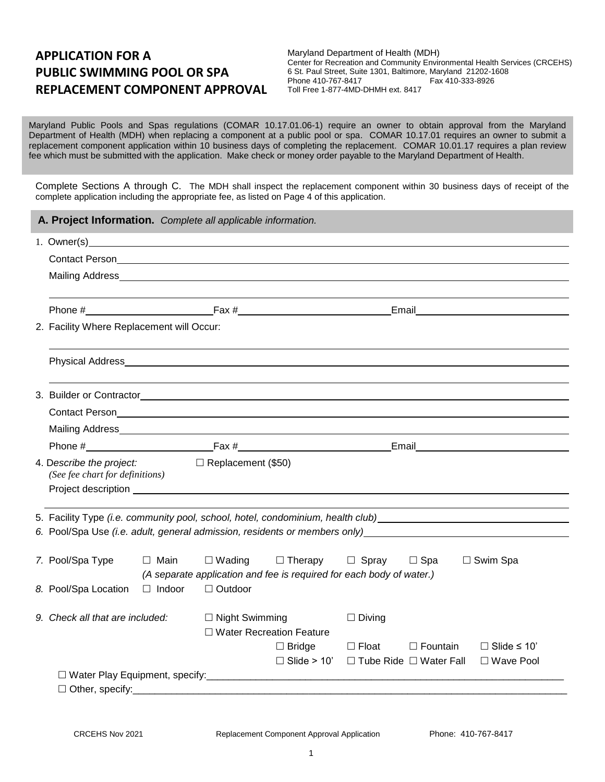# **APPLICATION FOR A PUBLIC SWIMMING POOL OR SPA REPLACEMENT COMPONENT APPROVAL**

Maryland Department of Health (MDH) Center for Recreation and Community Environmental Health Services (CRCEHS) 6 St. Paul Street, Suite 1301, Baltimore, Maryland 21202-1608 Phone 410-767-8417 Toll Free 1-877-4MD-DHMH ext. 8417

Maryland Public Pools and Spas regulations (COMAR 10.17.01.06-1) require an owner to obtain approval from the Maryland Department of Health (MDH) when replacing a component at a public pool or spa. COMAR 10.17.01 requires an owner to submit a replacement component application within 10 business days of completing the replacement. COMAR 10.01.17 requires a plan review fee which must be submitted with the application. Make check or money order payable to the Maryland Department of Health.

Complete Sections A through C. The MDH shall inspect the replacement component within 30 business days of receipt of the complete application including the appropriate fee, as listed on Page 4 of this application.

| A. Project Information. Complete all applicable information.                                                                                                                                                                  |               |                           |                                                                                           |                                                                       |                 |                                        |  |  |  |
|-------------------------------------------------------------------------------------------------------------------------------------------------------------------------------------------------------------------------------|---------------|---------------------------|-------------------------------------------------------------------------------------------|-----------------------------------------------------------------------|-----------------|----------------------------------------|--|--|--|
|                                                                                                                                                                                                                               |               |                           |                                                                                           |                                                                       |                 |                                        |  |  |  |
|                                                                                                                                                                                                                               |               |                           |                                                                                           |                                                                       |                 |                                        |  |  |  |
|                                                                                                                                                                                                                               |               |                           |                                                                                           |                                                                       |                 |                                        |  |  |  |
|                                                                                                                                                                                                                               |               |                           |                                                                                           |                                                                       |                 |                                        |  |  |  |
| 2. Facility Where Replacement will Occur:                                                                                                                                                                                     |               |                           |                                                                                           |                                                                       |                 |                                        |  |  |  |
|                                                                                                                                                                                                                               |               |                           |                                                                                           |                                                                       |                 |                                        |  |  |  |
|                                                                                                                                                                                                                               |               |                           |                                                                                           |                                                                       |                 |                                        |  |  |  |
|                                                                                                                                                                                                                               |               |                           |                                                                                           |                                                                       |                 |                                        |  |  |  |
| Mailing Address Management of the Contract of the Contract of the Contract of the Contract of the Contract of the Contract of the Contract of the Contract of the Contract of the Contract of the Contract of the Contract of |               |                           |                                                                                           |                                                                       |                 |                                        |  |  |  |
|                                                                                                                                                                                                                               |               |                           |                                                                                           |                                                                       |                 |                                        |  |  |  |
| 4. Describe the project:<br>(See fee chart for definitions)                                                                                                                                                                   |               | $\Box$ Replacement (\$50) |                                                                                           |                                                                       |                 |                                        |  |  |  |
|                                                                                                                                                                                                                               |               |                           |                                                                                           |                                                                       |                 |                                        |  |  |  |
| 5. Facility Type (i.e. community pool, school, hotel, condominium, health club) [1999] [1999] [1999] [1999] [1<br>6. Pool/Spa Use (i.e. adult, general admission, residents or members only)                                  |               |                           |                                                                                           |                                                                       |                 |                                        |  |  |  |
| 7. Pool/Spa Type                                                                                                                                                                                                              | □ Main        | $\Box$ Wading             | □ Therapy □ Spray<br>(A separate application and fee is required for each body of water.) |                                                                       | $\Box$ Spa      | $\Box$ Swim Spa                        |  |  |  |
| 8. Pool/Spa Location                                                                                                                                                                                                          | $\Box$ Indoor | □ Outdoor                 |                                                                                           |                                                                       |                 |                                        |  |  |  |
| 9. Check all that are included:                                                                                                                                                                                               |               | $\Box$ Night Swimming     | □ Water Recreation Feature                                                                | $\Box$ Diving                                                         |                 |                                        |  |  |  |
|                                                                                                                                                                                                                               |               |                           | $\Box$ Bridge                                                                             | $\Box$ Float<br>$\Box$ Slide > 10' $\Box$ Tube Ride $\Box$ Water Fall | $\Box$ Fountain | $\Box$ Slide $\leq$ 10'<br>□ Wave Pool |  |  |  |
|                                                                                                                                                                                                                               |               |                           |                                                                                           |                                                                       |                 |                                        |  |  |  |
| $\Box$ Other, specify:                                                                                                                                                                                                        |               |                           |                                                                                           |                                                                       |                 |                                        |  |  |  |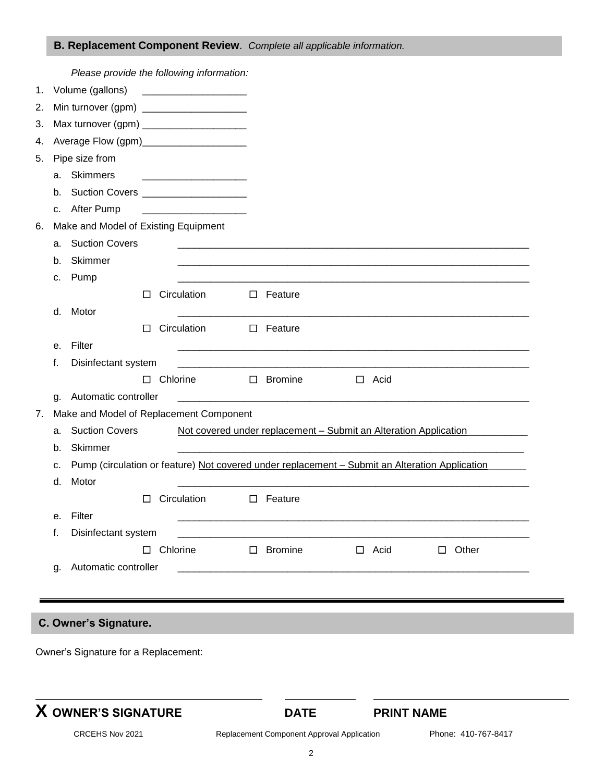## **B. Replacement Component Review**.*Complete all applicable information.*

|    |                                                                                                      | Please provide the following information:    |        |                 |             |  |                   |  |             |  |              |  |  |
|----|------------------------------------------------------------------------------------------------------|----------------------------------------------|--------|-----------------|-------------|--|-------------------|--|-------------|--|--------------|--|--|
| 1. |                                                                                                      | Volume (gallons)                             |        |                 |             |  |                   |  |             |  |              |  |  |
| 2. |                                                                                                      | Min turnover (gpm) ______________________    |        |                 |             |  |                   |  |             |  |              |  |  |
| 3. |                                                                                                      | Max turnover (gpm) _________________________ |        |                 |             |  |                   |  |             |  |              |  |  |
| 4. |                                                                                                      | Average Flow (gpm)________________________   |        |                 |             |  |                   |  |             |  |              |  |  |
| 5. |                                                                                                      | Pipe size from                               |        |                 |             |  |                   |  |             |  |              |  |  |
|    | а.                                                                                                   | Skimmers                                     |        |                 |             |  |                   |  |             |  |              |  |  |
|    | b.                                                                                                   | Suction Covers _____________________         |        |                 |             |  |                   |  |             |  |              |  |  |
|    | с.                                                                                                   | After Pump                                   |        |                 |             |  |                   |  |             |  |              |  |  |
| 6. |                                                                                                      | Make and Model of Existing Equipment         |        |                 |             |  |                   |  |             |  |              |  |  |
|    | а.                                                                                                   | <b>Suction Covers</b>                        |        |                 |             |  |                   |  |             |  |              |  |  |
|    | b.                                                                                                   | Skimmer                                      |        |                 |             |  |                   |  |             |  |              |  |  |
|    | c.                                                                                                   | Pump                                         |        |                 |             |  |                   |  |             |  |              |  |  |
|    |                                                                                                      |                                              | $\Box$ |                 | Circulation |  | $\square$ Feature |  |             |  |              |  |  |
|    | d.                                                                                                   | Motor                                        |        |                 |             |  |                   |  |             |  |              |  |  |
|    |                                                                                                      |                                              | □      |                 | Circulation |  | $\Box$ Feature    |  |             |  |              |  |  |
|    | е.                                                                                                   | Filter                                       |        |                 |             |  |                   |  |             |  |              |  |  |
|    | f.                                                                                                   | Disinfectant system                          |        |                 |             |  |                   |  |             |  |              |  |  |
|    |                                                                                                      |                                              | $\Box$ | Chlorine        |             |  | $\square$ Bromine |  | $\Box$ Acid |  |              |  |  |
|    | g.                                                                                                   | Automatic controller                         |        |                 |             |  |                   |  |             |  |              |  |  |
| 7. | Make and Model of Replacement Component                                                              |                                              |        |                 |             |  |                   |  |             |  |              |  |  |
|    | <b>Suction Covers</b><br>Not covered under replacement - Submit an Alteration Application<br>а.      |                                              |        |                 |             |  |                   |  |             |  |              |  |  |
|    | b.                                                                                                   | Skimmer                                      |        |                 |             |  |                   |  |             |  |              |  |  |
|    | Pump (circulation or feature) Not covered under replacement - Submit an Alteration Application<br>c. |                                              |        |                 |             |  |                   |  |             |  |              |  |  |
|    | d.                                                                                                   | Motor                                        |        |                 |             |  |                   |  |             |  |              |  |  |
|    |                                                                                                      |                                              | $\Box$ |                 | Circulation |  | $\square$ Feature |  |             |  |              |  |  |
|    | е.                                                                                                   | Filter                                       |        |                 |             |  |                   |  |             |  |              |  |  |
|    | f.                                                                                                   | Disinfectant system                          |        | $\Box$ Chlorine |             |  |                   |  |             |  |              |  |  |
|    |                                                                                                      |                                              |        |                 |             |  | $\Box$ Bromine    |  | $\Box$ Acid |  | $\Box$ Other |  |  |
|    | g.                                                                                                   | Automatic controller                         |        |                 |             |  |                   |  |             |  |              |  |  |
|    |                                                                                                      |                                              |        |                 |             |  |                   |  |             |  |              |  |  |
|    |                                                                                                      |                                              |        |                 |             |  |                   |  |             |  |              |  |  |
|    |                                                                                                      | C. Owner's Signature.                        |        |                 |             |  |                   |  |             |  |              |  |  |

Owner's Signature for a Replacement:

l

**DATE PRINT NAME** 

CRCEHS Nov 2021 Replacement Component Approval Application Phone: 410-767-8417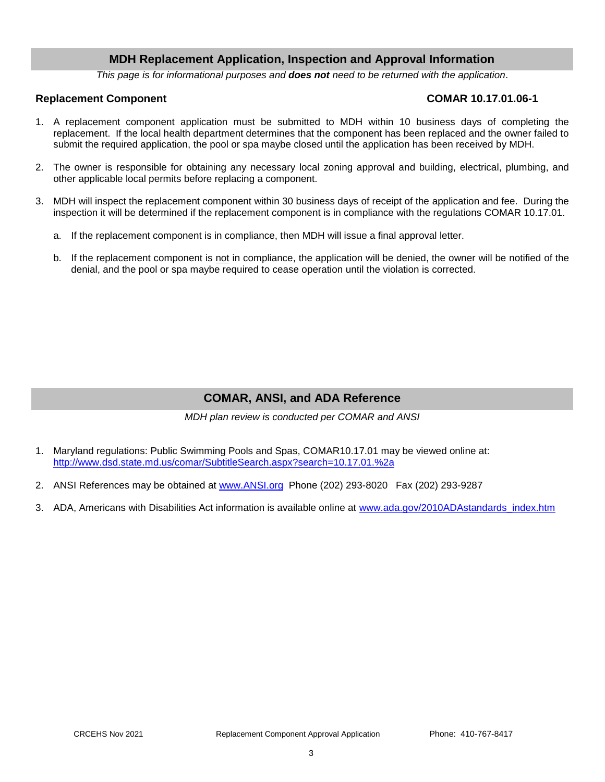## **MDH Replacement Application, Inspection and Approval Information**

*This page is for informational purposes and does not need to be returned with the application*.

### **Replacement Component COMAR 10.17.01.06-1**

- 1. A replacement component application must be submitted to MDH within 10 business days of completing the replacement. If the local health department determines that the component has been replaced and the owner failed to submit the required application, the pool or spa maybe closed until the application has been received by MDH.
- 2. The owner is responsible for obtaining any necessary local zoning approval and building, electrical, plumbing, and other applicable local permits before replacing a component.
- 3. MDH will inspect the replacement component within 30 business days of receipt of the application and fee. During the inspection it will be determined if the replacement component is in compliance with the regulations COMAR 10.17.01.
	- a. If the replacement component is in compliance, then MDH will issue a final approval letter.
	- b. If the replacement component is not in compliance, the application will be denied, the owner will be notified of the denial, and the pool or spa maybe required to cease operation until the violation is corrected.

## **COMAR, ANSI, and ADA Reference**

*MDH plan review is conducted per COMAR and ANSI*

- 1. Maryland regulations: Public Swimming Pools and Spas, COMAR10.17.01 may be viewed online at: <http://www.dsd.state.md.us/comar/SubtitleSearch.aspx?search=10.17.01.%2a>
- 2. ANSI References may be obtained at [www.ANSI.org](http://www.ansi.org/) Phone (202) 293-8020 Fax (202) 293-9287
- 3. ADA, Americans with Disabilities Act information is available online at [www.ada.gov/2010ADAstandards\\_index.htm](http://www.ada.gov/2010ADAstandards_index.htm)